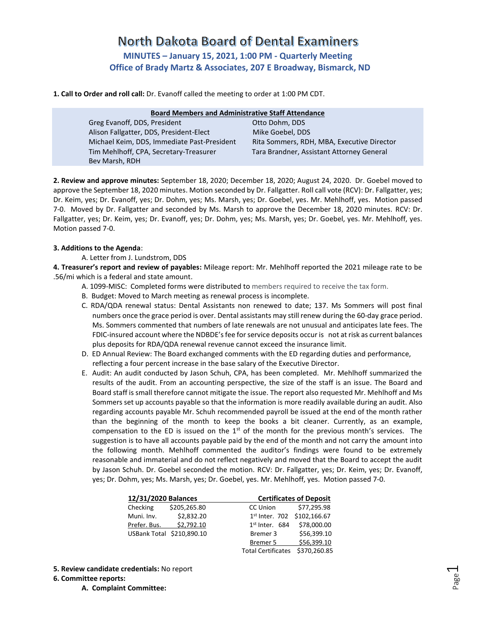# North Dakota Board of Dental Examiners **MINUTES – January 15, 2021, 1:00 PM - Quarterly Meeting Office of Brady Martz & Associates, 207 E Broadway, Bismarck, ND**

**1. Call to Order and roll call:** Dr. Evanoff called the meeting to order at 1:00 PM CDT.

| <b>Board Members and Administrative Staff Attendance</b> |                                            |  |  |  |  |
|----------------------------------------------------------|--------------------------------------------|--|--|--|--|
| Greg Evanoff, DDS, President                             | Otto Dohm, DDS                             |  |  |  |  |
| Alison Fallgatter, DDS, President-Elect                  | Mike Goebel, DDS                           |  |  |  |  |
| Michael Keim, DDS, Immediate Past-President              | Rita Sommers, RDH, MBA, Executive Director |  |  |  |  |
| Tim Mehlhoff, CPA, Secretary-Treasurer                   | Tara Brandner, Assistant Attorney General  |  |  |  |  |
| Bev Marsh, RDH                                           |                                            |  |  |  |  |

**2. Review and approve minutes:** September 18, 2020; December 18, 2020; August 24, 2020. Dr. Goebel moved to approve the September 18, 2020 minutes. Motion seconded by Dr. Fallgatter. Roll call vote (RCV): Dr. Fallgatter, yes; Dr. Keim, yes; Dr. Evanoff, yes; Dr. Dohm, yes; Ms. Marsh, yes; Dr. Goebel, yes. Mr. Mehlhoff, yes. Motion passed 7-0. Moved by Dr. Fallgatter and seconded by Ms. Marsh to approve the December 18, 2020 minutes. RCV: Dr. Fallgatter, yes; Dr. Keim, yes; Dr. Evanoff, yes; Dr. Dohm, yes; Ms. Marsh, yes; Dr. Goebel, yes. Mr. Mehlhoff, yes. Motion passed 7-0.

# **3. Additions to the Agenda**:

A. Letter from J. Lundstrom, DDS

**4. Treasurer's report and review of payables:** Mileage report: Mr. Mehlhoff reported the 2021 mileage rate to be .56/mi which is a federal and state amount.

- A. 1099-MISC: Completed forms were distributed to members required to receive the tax form.
- B. Budget: Moved to March meeting as renewal process is incomplete.
- C. RDA/QDA renewal status: Dental Assistants non renewed to date; 137. Ms Sommers will post final numbers once the grace period is over. Dental assistants may still renew during the 60-day grace period. Ms. Sommers commented that numbers of late renewals are not unusual and anticipates late fees. The FDIC-insured account where the NDBDE's fee for service deposits occur is not at risk as current balances plus deposits for RDA/QDA renewal revenue cannot exceed the insurance limit.
- D. ED Annual Review: The Board exchanged comments with the ED regarding duties and performance, reflecting a four percent increase in the base salary of the Executive Director.
- E. Audit: An audit conducted by Jason Schuh, CPA, has been completed. Mr. Mehlhoff summarized the results of the audit. From an accounting perspective, the size of the staff is an issue. The Board and Board staff is small therefore cannot mitigate the issue. The report also requested Mr. Mehlhoff and Ms Sommers set up accounts payable so that the information is more readily available during an audit. Also regarding accounts payable Mr. Schuh recommended payroll be issued at the end of the month rather than the beginning of the month to keep the books a bit cleaner. Currently, as an example, compensation to the ED is issued on the  $1<sup>st</sup>$  of the month for the previous month's services. The suggestion is to have all accounts payable paid by the end of the month and not carry the amount into the following month. Mehlhoff commented the auditor's findings were found to be extremely reasonable and immaterial and do not reflect negatively and moved that the Board to accept the audit by Jason Schuh. Dr. Goebel seconded the motion. RCV: Dr. Fallgatter, yes; Dr. Keim, yes; Dr. Evanoff, yes; Dr. Dohm, yes; Ms. Marsh, yes; Dr. Goebel, yes. Mr. Mehlhoff, yes. Motion passed 7-0.

| 12/31/2020 Balances |                           | <b>Certificates of Deposit</b> |                             |  |
|---------------------|---------------------------|--------------------------------|-----------------------------|--|
| Checking            | \$205,265.80              | CC Union                       | \$77,295.98                 |  |
| Muni. Inv.          | \$2,832.20                |                                | 1st Inter. 702 \$102,166.67 |  |
| Prefer. Bus.        | \$2,792.10                | $1st$ Inter. 684               | \$78,000.00                 |  |
|                     | USBank Total \$210,890.10 | Bremer 3                       | \$56,399.10                 |  |
|                     |                           | Bremer 5                       | \$56,399.10                 |  |
|                     |                           | <b>Total Certificates</b>      | \$370,260.85                |  |
|                     |                           |                                |                             |  |

**5. Review candidate credentials:** No report

# **6. Committee reports:**

**A. Complaint Committee:**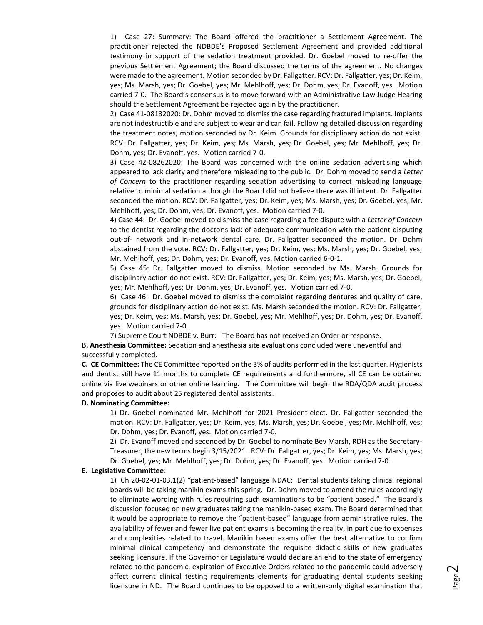1) Case 27: Summary: The Board offered the practitioner a Settlement Agreement. The practitioner rejected the NDBDE's Proposed Settlement Agreement and provided additional testimony in support of the sedation treatment provided. Dr. Goebel moved to re-offer the previous Settlement Agreement; the Board discussed the terms of the agreement. No changes were made to the agreement. Motion seconded by Dr. Fallgatter. RCV: Dr. Fallgatter, yes; Dr. Keim, yes; Ms. Marsh, yes; Dr. Goebel, yes; Mr. Mehlhoff, yes; Dr. Dohm, yes; Dr. Evanoff, yes. Motion carried 7-0. The Board's consensus is to move forward with an Administrative Law Judge Hearing should the Settlement Agreement be rejected again by the practitioner.

2) Case 41-08132020: Dr. Dohm moved to dismiss the case regarding fractured implants. Implants are not indestructible and are subject to wear and can fail. Following detailed discussion regarding the treatment notes, motion seconded by Dr. Keim. Grounds for disciplinary action do not exist. RCV: Dr. Fallgatter, yes; Dr. Keim, yes; Ms. Marsh, yes; Dr. Goebel, yes; Mr. Mehlhoff, yes; Dr. Dohm, yes; Dr. Evanoff, yes. Motion carried 7-0.

3) Case 42-08262020: The Board was concerned with the online sedation advertising which appeared to lack clarity and therefore misleading to the public. Dr. Dohm moved to send a *Letter of Concern* to the practitioner regarding sedation advertising to correct misleading language relative to minimal sedation although the Board did not believe there was ill intent. Dr. Fallgatter seconded the motion. RCV: Dr. Fallgatter, yes; Dr. Keim, yes; Ms. Marsh, yes; Dr. Goebel, yes; Mr. Mehlhoff, yes; Dr. Dohm, yes; Dr. Evanoff, yes. Motion carried 7-0.

4) Case 44: Dr. Goebel moved to dismiss the case regarding a fee dispute with a *Letter of Concern* to the dentist regarding the doctor's lack of adequate communication with the patient disputing out-of- network and in-network dental care. Dr. Fallgatter seconded the motion. Dr. Dohm abstained from the vote. RCV: Dr. Fallgatter, yes; Dr. Keim, yes; Ms. Marsh, yes; Dr. Goebel, yes; Mr. Mehlhoff, yes; Dr. Dohm, yes; Dr. Evanoff, yes. Motion carried 6-0-1.

5) Case 45: Dr. Fallgatter moved to dismiss. Motion seconded by Ms. Marsh. Grounds for disciplinary action do not exist. RCV: Dr. Fallgatter, yes; Dr. Keim, yes; Ms. Marsh, yes; Dr. Goebel, yes; Mr. Mehlhoff, yes; Dr. Dohm, yes; Dr. Evanoff, yes. Motion carried 7-0.

6) Case 46:Dr. Goebel moved to dismiss the complaint regarding dentures and quality of care, grounds for disciplinary action do not exist. Ms. Marsh seconded the motion. RCV: Dr. Fallgatter, yes; Dr. Keim, yes; Ms. Marsh, yes; Dr. Goebel, yes; Mr. Mehlhoff, yes; Dr. Dohm, yes; Dr. Evanoff, yes. Motion carried 7-0.

7) Supreme Court NDBDE v. Burr: The Board has not received an Order or response.

**B. Anesthesia Committee:** Sedation and anesthesia site evaluations concluded were uneventful and successfully completed.

**C. CE Committee:** The CE Committee reported on the 3% of audits performed in the last quarter. Hygienists and dentist still have 11 months to complete CE requirements and furthermore, all CE can be obtained online via live webinars or other online learning. The Committee will begin the RDA/QDA audit process and proposes to audit about 25 registered dental assistants.

### **D. Nominating Committee:**

1) Dr. Goebel nominated Mr. Mehlhoff for 2021 President-elect. Dr. Fallgatter seconded the motion. RCV: Dr. Fallgatter, yes; Dr. Keim, yes; Ms. Marsh, yes; Dr. Goebel, yes; Mr. Mehlhoff, yes; Dr. Dohm, yes; Dr. Evanoff, yes. Motion carried 7-0.

2) Dr. Evanoff moved and seconded by Dr. Goebel to nominate Bev Marsh, RDH as the Secretary-Treasurer, the new terms begin 3/15/2021. RCV: Dr. Fallgatter, yes; Dr. Keim, yes; Ms. Marsh, yes; Dr. Goebel, yes; Mr. Mehlhoff, yes; Dr. Dohm, yes; Dr. Evanoff, yes. Motion carried 7-0.

#### **E. Legislative Committee**:

1) Ch 20-02-01-03.1(2) "patient-based" language NDAC: Dental students taking clinical regional boards will be taking manikin exams this spring. Dr. Dohm moved to amend the rules accordingly to eliminate wording with rules requiring such examinations to be "patient based." The Board's discussion focused on new graduates taking the manikin-based exam. The Board determined that it would be appropriate to remove the "patient-based" language from administrative rules. The availability of fewer and fewer live patient exams is becoming the reality, in part due to expenses and complexities related to travel. Manikin based exams offer the best alternative to confirm minimal clinical competency and demonstrate the requisite didactic skills of new graduates seeking licensure. If the Governor or Legislature would declare an end to the state of emergency related to the pandemic, expiration of Executive Orders related to the pandemic could adversely affect current clinical testing requirements elements for graduating dental students seeking licensure in ND. The Board continues to be opposed to a written-only digital examination that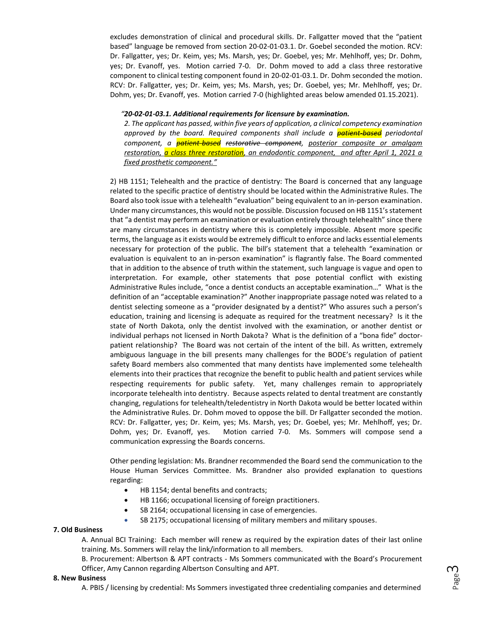excludes demonstration of clinical and procedural skills. Dr. Fallgatter moved that the "patient based" language be removed from section 20-02-01-03.1. Dr. Goebel seconded the motion. RCV: Dr. Fallgatter, yes; Dr. Keim, yes; Ms. Marsh, yes; Dr. Goebel, yes; Mr. Mehlhoff, yes; Dr. Dohm, yes; Dr. Evanoff, yes. Motion carried 7-0. Dr. Dohm moved to add a class three restorative component to clinical testing component found in 20-02-01-03.1. Dr. Dohm seconded the motion. RCV: Dr. Fallgatter, yes; Dr. Keim, yes; Ms. Marsh, yes; Dr. Goebel, yes; Mr. Mehlhoff, yes; Dr. Dohm, yes; Dr. Evanoff, yes. Motion carried 7-0 (highlighted areas below amended 01.15.2021).

## *"20-02-01-03.1. Additional requirements for licensure by examination.*

*2. The applicant has passed, within five years of application, a clinical competency examination approved by the board. Required components shall include a patient-based periodontal component, a patient-based restorative component, posterior composite or amalgam restoration, a class three restoration, an endodontic component, and after April 1, 2021 a fixed prosthetic component."* 

2) HB 1151; Telehealth and the practice of dentistry: The Board is concerned that any language related to the specific practice of dentistry should be located within the Administrative Rules. The Board also took issue with a telehealth "evaluation" being equivalent to an in-person examination. Under many circumstances, this would not be possible. Discussion focused on HB 1151's statement that "a dentist may perform an examination or evaluation entirely through telehealth" since there are many circumstances in dentistry where this is completely impossible. Absent more specific terms, the language as it exists would be extremely difficult to enforce and lacks essential elements necessary for protection of the public. The bill's statement that a telehealth "examination or evaluation is equivalent to an in-person examination" is flagrantly false. The Board commented that in addition to the absence of truth within the statement, such language is vague and open to interpretation. For example, other statements that pose potential conflict with existing Administrative Rules include, "once a dentist conducts an acceptable examination…" What is the definition of an "acceptable examination?" Another inappropriate passage noted was related to a dentist selecting someone as a "provider designated by a dentist?" Who assures such a person's education, training and licensing is adequate as required for the treatment necessary? Is it the state of North Dakota, only the dentist involved with the examination, or another dentist or individual perhaps not licensed in North Dakota? What is the definition of a "bona fide" doctorpatient relationship? The Board was not certain of the intent of the bill. As written, extremely ambiguous language in the bill presents many challenges for the BODE's regulation of patient safety Board members also commented that many dentists have implemented some telehealth elements into their practices that recognize the benefit to public health and patient services while respecting requirements for public safety. Yet, many challenges remain to appropriately incorporate telehealth into dentistry. Because aspects related to dental treatment are constantly changing, regulations for telehealth/teledentistry in North Dakota would be better located within the Administrative Rules. Dr. Dohm moved to oppose the bill. Dr Fallgatter seconded the motion. RCV: Dr. Fallgatter, yes; Dr. Keim, yes; Ms. Marsh, yes; Dr. Goebel, yes; Mr. Mehlhoff, yes; Dr. Dohm, yes; Dr. Evanoff, yes. Motion carried 7-0. Ms. Sommers will compose send a communication expressing the Boards concerns.

Other pending legislation: Ms. Brandner recommended the Board send the communication to the House Human Services Committee. Ms. Brandner also provided explanation to questions regarding:

- HB 1154; dental benefits and contracts;
- HB 1166; occupational licensing of foreign practitioners.
- SB 2164; occupational licensing in case of emergencies.
- SB 2175; occupational licensing of military members and military spouses.

# **7. Old Business**

A. Annual BCI Training: Each member will renew as required by the expiration dates of their last online training. Ms. Sommers will relay the link/information to all members.

B. Procurement: Albertson & APT contracts - Ms Sommers communicated with the Board's Procurement Officer, Amy Cannon regarding Albertson Consulting and APT.

#### **8. New Business**

A. PBIS / licensing by credential: Ms Sommers investigated three credentialing companies and determined